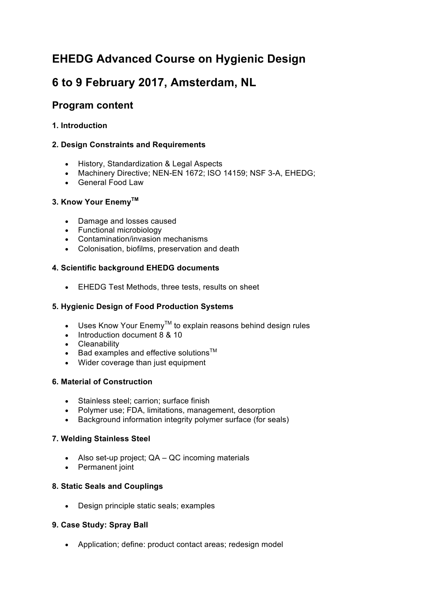# **EHEDG Advanced Course on Hygienic Design**

# **6 to 9 February 2017, Amsterdam, NL**

# **Program content**

# **1. Introduction**

# **2. Design Constraints and Requirements**

- History, Standardization & Legal Aspects
- Machinery Directive; NEN-EN 1672; ISO 14159; NSF 3-A, EHEDG;
- General Food Law

#### **3. Know Your EnemyTM**

- Damage and losses caused
- Functional microbiology
- Contamination/invasion mechanisms
- Colonisation, biofilms, preservation and death

#### **4. Scientific background EHEDG documents**

• EHEDG Test Methods, three tests, results on sheet

### **5. Hygienic Design of Food Production Systems**

- Uses Know Your Enemy<sup>™</sup> to explain reasons behind design rules
- Introduction document 8 & 10
- Cleanability
- Bad examples and effective solutions $^{TM}$
- Wider coverage than just equipment

#### **6. Material of Construction**

- Stainless steel; carrion; surface finish
- Polymer use; FDA, limitations, management, desorption
- Background information integrity polymer surface (for seals)

# **7. Welding Stainless Steel**

- Also set-up project; QA QC incoming materials
- Permanent joint

#### **8. Static Seals and Couplings**

• Design principle static seals; examples

# **9. Case Study: Spray Ball**

• Application; define: product contact areas; redesign model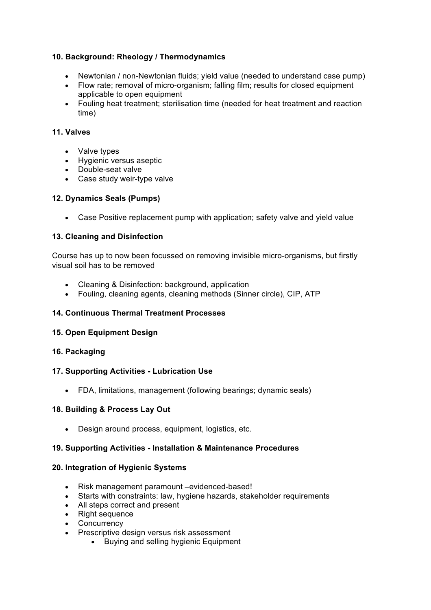#### **10. Background: Rheology / Thermodynamics**

- Newtonian / non-Newtonian fluids; yield value (needed to understand case pump)
- Flow rate; removal of micro-organism; falling film; results for closed equipment applicable to open equipment
- Fouling heat treatment; sterilisation time (needed for heat treatment and reaction time)

#### **11. Valves**

- Valve types
- Hygienic versus aseptic
- Double-seat valve
- Case study weir-type valve

#### **12. Dynamics Seals (Pumps)**

• Case Positive replacement pump with application; safety valve and yield value

#### **13. Cleaning and Disinfection**

Course has up to now been focussed on removing invisible micro-organisms, but firstly visual soil has to be removed

- Cleaning & Disinfection: background, application
- Fouling, cleaning agents, cleaning methods (Sinner circle), CIP, ATP

#### **14. Continuous Thermal Treatment Processes**

#### **15. Open Equipment Design**

#### **16. Packaging**

#### **17. Supporting Activities - Lubrication Use**

• FDA, limitations, management (following bearings; dynamic seals)

#### **18. Building & Process Lay Out**

• Design around process, equipment, logistics, etc.

#### **19. Supporting Activities - Installation & Maintenance Procedures**

#### **20. Integration of Hygienic Systems**

- Risk management paramount –evidenced-based!
- Starts with constraints: law, hygiene hazards, stakeholder requirements
- All steps correct and present
- Right sequence
- Concurrency
- Prescriptive design versus risk assessment
	- Buying and selling hygienic Equipment